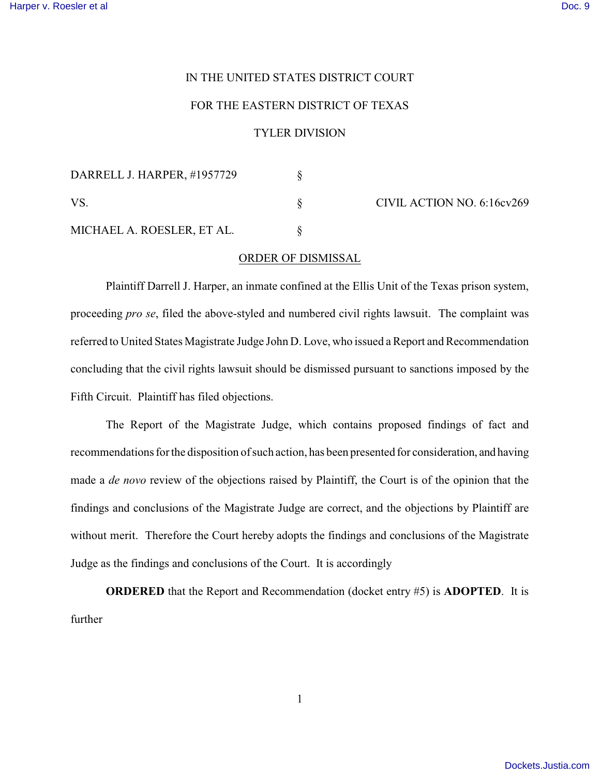## IN THE UNITED STATES DISTRICT COURT

## FOR THE EASTERN DISTRICT OF TEXAS

## TYLER DIVISION

| DARRELL J. HARPER, #1957729 |  |
|-----------------------------|--|
| VS.                         |  |
| MICHAEL A. ROESLER, ET AL.  |  |

CIVIL ACTION NO. 6:16cv269

## ORDER OF DISMISSAL

Plaintiff Darrell J. Harper, an inmate confined at the Ellis Unit of the Texas prison system, proceeding *pro se*, filed the above-styled and numbered civil rights lawsuit. The complaint was referred to United States Magistrate Judge John D. Love, who issued a Report and Recommendation concluding that the civil rights lawsuit should be dismissed pursuant to sanctions imposed by the Fifth Circuit. Plaintiff has filed objections.

The Report of the Magistrate Judge, which contains proposed findings of fact and recommendations for the disposition of such action, has been presented for consideration, and having made a *de novo* review of the objections raised by Plaintiff, the Court is of the opinion that the findings and conclusions of the Magistrate Judge are correct, and the objections by Plaintiff are without merit. Therefore the Court hereby adopts the findings and conclusions of the Magistrate Judge as the findings and conclusions of the Court. It is accordingly

**ORDERED** that the Report and Recommendation (docket entry #5) is **ADOPTED**. It is further